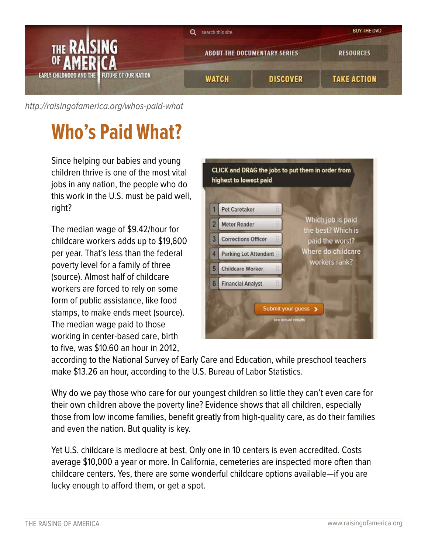

[http://raisingofamerica.org/](http://raisingofamerica.org/whos-paid-what)whos-paid-what

## **Who's Paid What?**

Since helping our babies and young children thrive is one of the most vital jobs in any nation, the people who do this work in the U.S. must be paid well, right?

The median wage of \$9.42/hour for childcare workers adds up to \$19,600 per year. That's less than the federal poverty level for a family of three (source). Almost half of childcare workers are forced to rely on some form of public assistance, like food stamps, to make ends meet (source). The median wage paid to those working in center-based care, birth to five, was \$10.60 an hour in 2012,

|   | Pet Caretaker              | Which job is paid<br>the best? Which is<br>paid the worst?<br>Where do childcare<br>workers rank? |
|---|----------------------------|---------------------------------------------------------------------------------------------------|
|   | Meter Reader               |                                                                                                   |
| 3 | <b>Corrections Officer</b> |                                                                                                   |
| 4 | Parking Lot Attendant      |                                                                                                   |
| 5 | <b>Childcare Worker</b>    |                                                                                                   |
| 6 | <b>Financial Analyst</b>   |                                                                                                   |

according to the National Survey of Early Care and Education, while preschool teachers make \$13.26 an hour, according to the U.S. Bureau of Labor Statistics.

Why do we pay those who care for our youngest children so little they can't even care for their own children above the poverty line? Evidence shows that all children, especially those from low income families, benefit greatly from high-quality care, as do their families and even the nation. But quality is key.

Yet U.S. childcare is mediocre at best. Only one in 10 centers is even accredited. Costs average \$10,000 a year or more. In California, cemeteries are inspected more often than childcare centers. Yes, there are some wonderful childcare options available—if you are lucky enough to afford them, or get a spot.